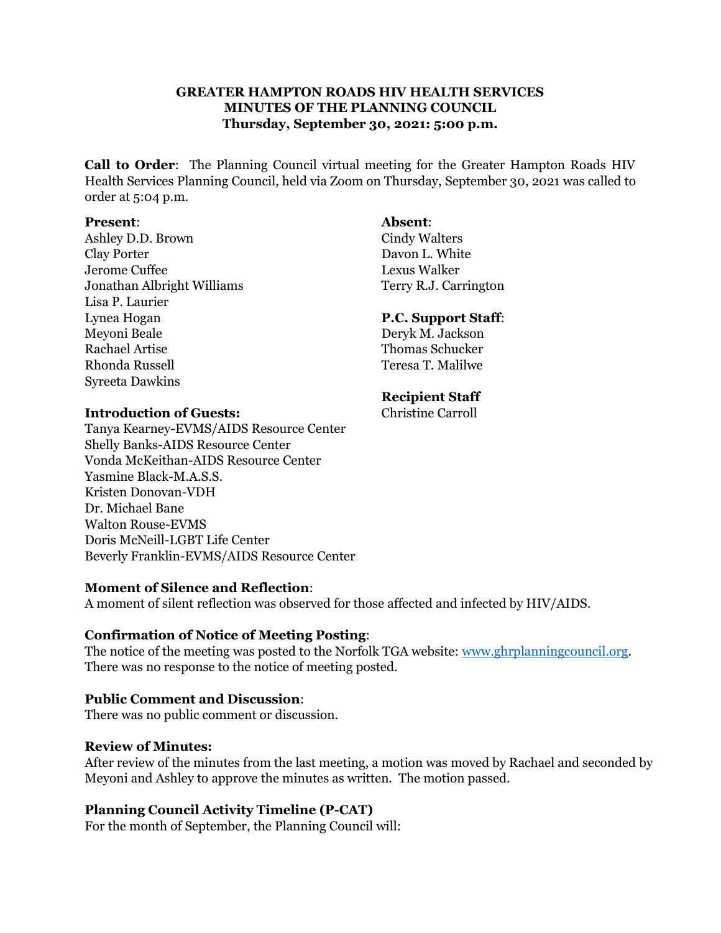# **GREATER HAMPTON ROADS HIV HEALTH SERVICES MINUTES OF THE PLANNING COUNCIL Thursday, September 30, 2021: 5:00 p.m.**

**Call to Order**: The Planning Council virtual meeting for the Greater Hampton Roads HIV Health Services Planning Council, held via Zoom on Thursday, September 30, 2021 was called to order at 5:04 p.m.

#### **Present**: **Absent**:

Ashley D.D. Brown Cindy Walters Clay Porter Davon L. White Jerome Cuffee Lexus Walker Jonathan Albright Williams Terry R.J. Carrington Lisa P. Laurier Lynea Hogan **P.C. Support Staff**: Meyoni Beale Deryk M. Jackson Rachael Artise Thomas Schucker Rhonda Russell **Teresa T. Malilwe** Syreeta Dawkins

### **Recipient Staff**

#### **Introduction of Guests:** Christine Carroll

Tanya Kearney-EVMS/AIDS Resource Center Shelly Banks-AIDS Resource Center Vonda McKeithan-AIDS Resource Center Yasmine Black-M.A.S.S. Kristen Donovan-VDH Dr. Michael Bane Walton Rouse-EVMS Doris McNeill-LGBT Life Center Beverly Franklin-EVMS/AIDS Resource Center

# **Moment of Silence and Reflection**:

A moment of silent reflection was observed for those affected and infected by HIV/AIDS.

# **Confirmation of Notice of Meeting Posting**:

The notice of the meeting was posted to the Norfolk TGA website: [www.ghrplanningcouncil.org.](http://www.ghrplanningcouncil.org/) There was no response to the notice of meeting posted.

#### **Public Comment and Discussion**:

There was no public comment or discussion.

#### **Review of Minutes:**

After review of the minutes from the last meeting, a motion was moved by Rachael and seconded by Meyoni and Ashley to approve the minutes as written. The motion passed.

# **Planning Council Activity Timeline (P-CAT)**

For the month of September, the Planning Council will: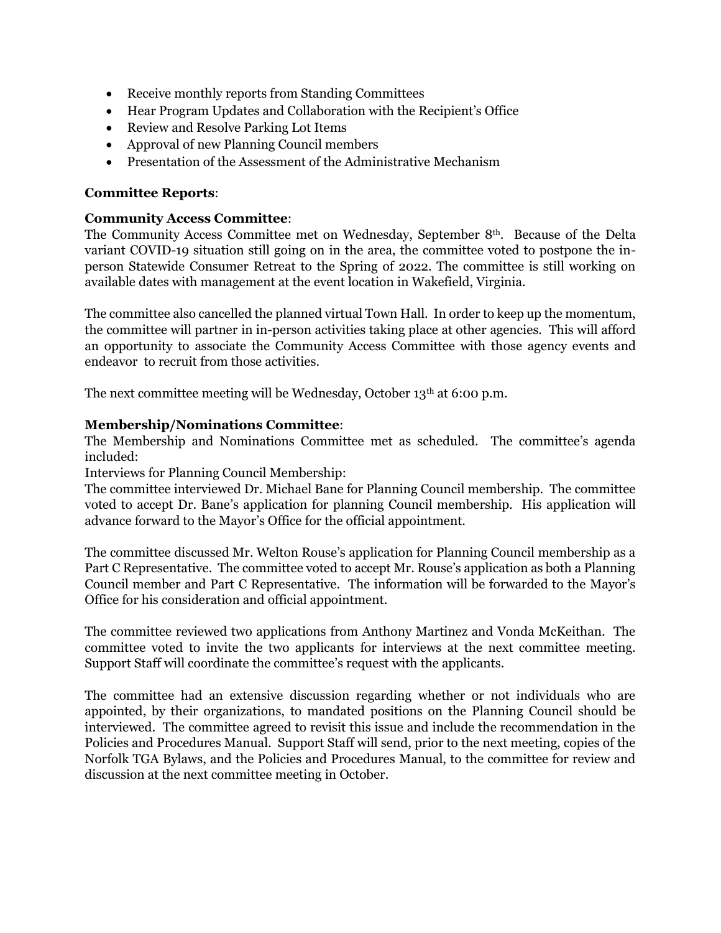- Receive monthly reports from Standing Committees
- Hear Program Updates and Collaboration with the Recipient's Office
- Review and Resolve Parking Lot Items
- Approval of new Planning Council members
- Presentation of the Assessment of the Administrative Mechanism

### **Committee Reports**:

### **Community Access Committee**:

The Community Access Committee met on Wednesday, September 8th. Because of the Delta variant COVID-19 situation still going on in the area, the committee voted to postpone the inperson Statewide Consumer Retreat to the Spring of 2022. The committee is still working on available dates with management at the event location in Wakefield, Virginia.

The committee also cancelled the planned virtual Town Hall. In order to keep up the momentum, the committee will partner in in-person activities taking place at other agencies. This will afford an opportunity to associate the Community Access Committee with those agency events and endeavor to recruit from those activities.

The next committee meeting will be Wednesday, October 13<sup>th</sup> at 6:00 p.m.

### **Membership/Nominations Committee**:

The Membership and Nominations Committee met as scheduled. The committee's agenda included:

Interviews for Planning Council Membership:

The committee interviewed Dr. Michael Bane for Planning Council membership. The committee voted to accept Dr. Bane's application for planning Council membership. His application will advance forward to the Mayor's Office for the official appointment.

The committee discussed Mr. Welton Rouse's application for Planning Council membership as a Part C Representative. The committee voted to accept Mr. Rouse's application as both a Planning Council member and Part C Representative. The information will be forwarded to the Mayor's Office for his consideration and official appointment.

The committee reviewed two applications from Anthony Martinez and Vonda McKeithan. The committee voted to invite the two applicants for interviews at the next committee meeting. Support Staff will coordinate the committee's request with the applicants.

The committee had an extensive discussion regarding whether or not individuals who are appointed, by their organizations, to mandated positions on the Planning Council should be interviewed. The committee agreed to revisit this issue and include the recommendation in the Policies and Procedures Manual. Support Staff will send, prior to the next meeting, copies of the Norfolk TGA Bylaws, and the Policies and Procedures Manual, to the committee for review and discussion at the next committee meeting in October.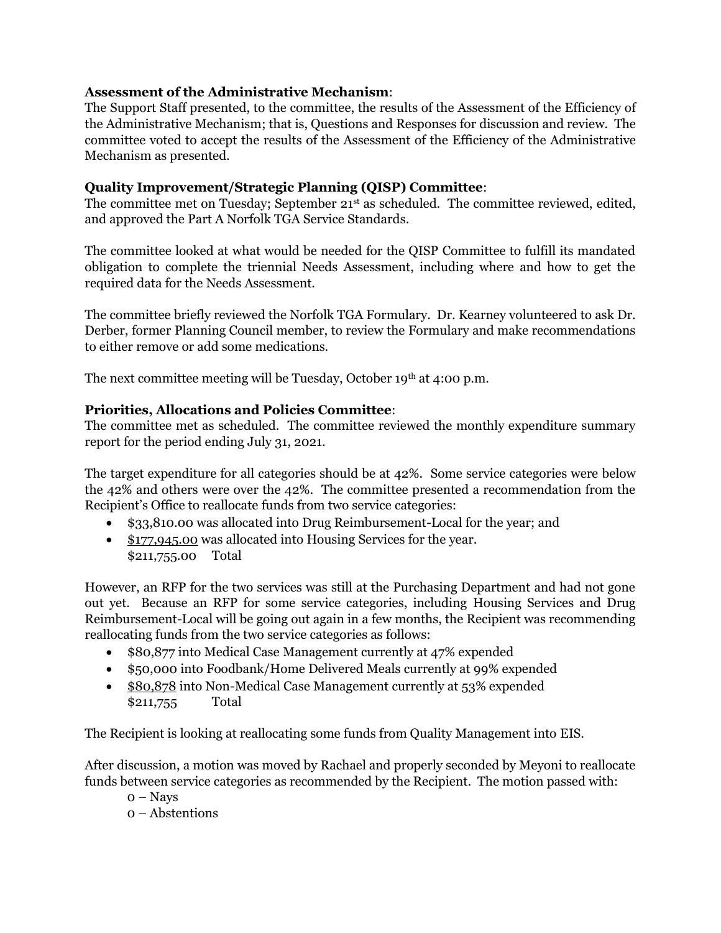# **Assessment of the Administrative Mechanism**:

The Support Staff presented, to the committee, the results of the Assessment of the Efficiency of the Administrative Mechanism; that is, Questions and Responses for discussion and review. The committee voted to accept the results of the Assessment of the Efficiency of the Administrative Mechanism as presented.

# **Quality Improvement/Strategic Planning (QISP) Committee**:

The committee met on Tuesday; September 21<sup>st</sup> as scheduled. The committee reviewed, edited, and approved the Part A Norfolk TGA Service Standards.

The committee looked at what would be needed for the QISP Committee to fulfill its mandated obligation to complete the triennial Needs Assessment, including where and how to get the required data for the Needs Assessment.

The committee briefly reviewed the Norfolk TGA Formulary. Dr. Kearney volunteered to ask Dr. Derber, former Planning Council member, to review the Formulary and make recommendations to either remove or add some medications.

The next committee meeting will be Tuesday, October 19th at 4:00 p.m.

# **Priorities, Allocations and Policies Committee**:

The committee met as scheduled. The committee reviewed the monthly expenditure summary report for the period ending July 31, 2021.

The target expenditure for all categories should be at 42%. Some service categories were below the 42% and others were over the 42%. The committee presented a recommendation from the Recipient's Office to reallocate funds from two service categories:

- \$33,810.00 was allocated into Drug Reimbursement-Local for the year; and
- \$177,945.00 was allocated into Housing Services for the year. \$211,755.00 Total

However, an RFP for the two services was still at the Purchasing Department and had not gone out yet. Because an RFP for some service categories, including Housing Services and Drug Reimbursement-Local will be going out again in a few months, the Recipient was recommending reallocating funds from the two service categories as follows:

- \$80,877 into Medical Case Management currently at 47% expended
- \$50,000 into Foodbank/Home Delivered Meals currently at 99% expended
- \$80,878 into Non-Medical Case Management currently at 53% expended \$211,755 Total

The Recipient is looking at reallocating some funds from Quality Management into EIS.

After discussion, a motion was moved by Rachael and properly seconded by Meyoni to reallocate funds between service categories as recommended by the Recipient. The motion passed with:

- 0 Nays
- 0 Abstentions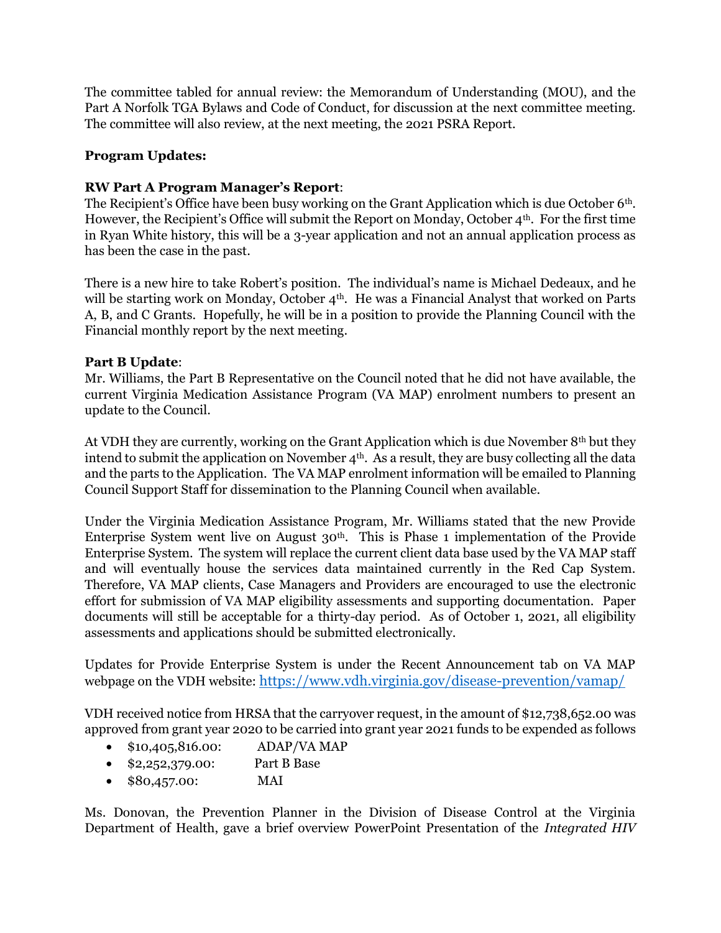The committee tabled for annual review: the Memorandum of Understanding (MOU), and the Part A Norfolk TGA Bylaws and Code of Conduct, for discussion at the next committee meeting. The committee will also review, at the next meeting, the 2021 PSRA Report.

# **Program Updates:**

# **RW Part A Program Manager's Report**:

The Recipient's Office have been busy working on the Grant Application which is due October 6th. However, the Recipient's Office will submit the Report on Monday, October  $4<sup>th</sup>$ . For the first time in Ryan White history, this will be a 3-year application and not an annual application process as has been the case in the past.

There is a new hire to take Robert's position. The individual's name is Michael Dedeaux, and he will be starting work on Monday, October 4<sup>th</sup>. He was a Financial Analyst that worked on Parts A, B, and C Grants. Hopefully, he will be in a position to provide the Planning Council with the Financial monthly report by the next meeting.

# **Part B Update**:

Mr. Williams, the Part B Representative on the Council noted that he did not have available, the current Virginia Medication Assistance Program (VA MAP) enrolment numbers to present an update to the Council.

At VDH they are currently, working on the Grant Application which is due November 8th but they intend to submit the application on November 4<sup>th</sup>. As a result, they are busy collecting all the data and the parts to the Application. The VA MAP enrolment information will be emailed to Planning Council Support Staff for dissemination to the Planning Council when available.

Under the Virginia Medication Assistance Program, Mr. Williams stated that the new Provide Enterprise System went live on August 30th. This is Phase 1 implementation of the Provide Enterprise System. The system will replace the current client data base used by the VA MAP staff and will eventually house the services data maintained currently in the Red Cap System. Therefore, VA MAP clients, Case Managers and Providers are encouraged to use the electronic effort for submission of VA MAP eligibility assessments and supporting documentation. Paper documents will still be acceptable for a thirty-day period. As of October 1, 2021, all eligibility assessments and applications should be submitted electronically.

Updates for Provide Enterprise System is under the Recent Announcement tab on VA MAP webpage on the VDH website: <https://www.vdh.virginia.gov/disease-prevention/vamap/>

VDH received notice from HRSA that the carryover request, in the amount of \$12,738,652.00 was approved from grant year 2020 to be carried into grant year 2021 funds to be expended as follows

- \$10,405,816.00: ADAP/VA MAP
- \$2,252,379.00: Part B Base
- \$80,457.00: MAI

Ms. Donovan, the Prevention Planner in the Division of Disease Control at the Virginia Department of Health, gave a brief overview PowerPoint Presentation of the *Integrated HIV*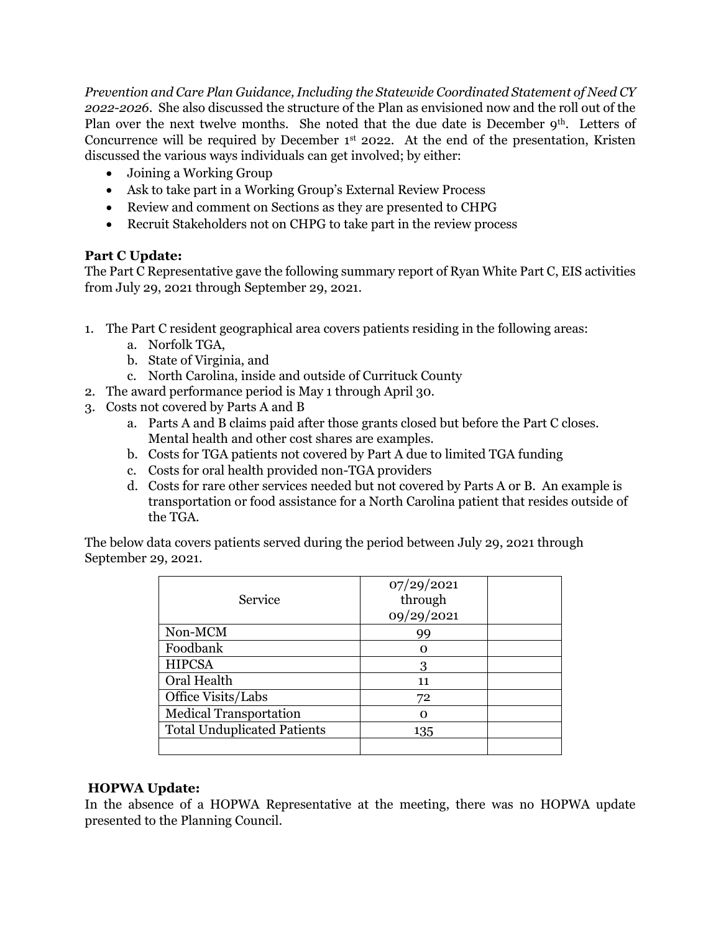*Prevention and Care Plan Guidance, Including the Statewide Coordinated Statement of Need CY 2022-2026*. She also discussed the structure of the Plan as envisioned now and the roll out of the Plan over the next twelve months. She noted that the due date is December 9<sup>th</sup>. Letters of Concurrence will be required by December  $1<sup>st</sup>$  2022. At the end of the presentation, Kristen discussed the various ways individuals can get involved; by either:

- Joining a Working Group
- Ask to take part in a Working Group's External Review Process
- Review and comment on Sections as they are presented to CHPG
- Recruit Stakeholders not on CHPG to take part in the review process

# **Part C Update:**

The Part C Representative gave the following summary report of Ryan White Part C, EIS activities from July 29, 2021 through September 29, 2021.

- 1. The Part C resident geographical area covers patients residing in the following areas:
	- a. Norfolk TGA,
	- b. State of Virginia, and
	- c. North Carolina, inside and outside of Currituck County
- 2. The award performance period is May 1 through April 30.
- 3. Costs not covered by Parts A and B
	- a. Parts A and B claims paid after those grants closed but before the Part C closes. Mental health and other cost shares are examples.
	- b. Costs for TGA patients not covered by Part A due to limited TGA funding
	- c. Costs for oral health provided non-TGA providers
	- d. Costs for rare other services needed but not covered by Parts A or B. An example is transportation or food assistance for a North Carolina patient that resides outside of the TGA.

The below data covers patients served during the period between July 29, 2021 through September 29, 2021.

| Service                            | 07/29/2021<br>through<br>09/29/2021 |  |
|------------------------------------|-------------------------------------|--|
| Non-MCM                            | 99                                  |  |
| Foodbank                           |                                     |  |
| <b>HIPCSA</b>                      | 3                                   |  |
| Oral Health                        | 11                                  |  |
| Office Visits/Labs                 | 72                                  |  |
| <b>Medical Transportation</b>      |                                     |  |
| <b>Total Unduplicated Patients</b> | 135                                 |  |
|                                    |                                     |  |

# **HOPWA Update:**

In the absence of a HOPWA Representative at the meeting, there was no HOPWA update presented to the Planning Council.